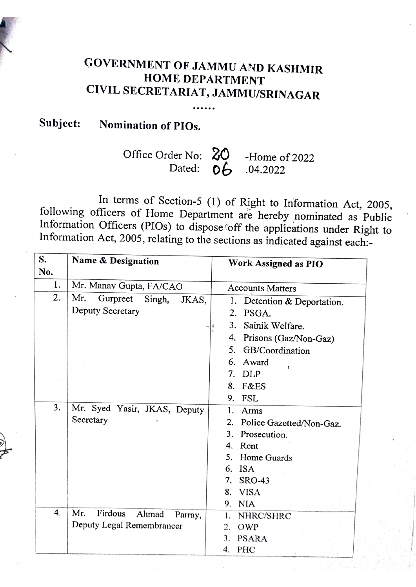## GOVERNMENT OF JAMMU AND KASHMIR HOME DEPARTMENT CIVIL SECRETARIAT, JAMMU/SRINAGAR

## Subject: Nomination of PIOs.

## Office Order No:  $\bigotimes_{\text{Data}}$  -Home of 2022 Dated:  $06$

In terms of Section-5 (1) of Right to Information Act, 2005, following officers of Home Department are hereby nominated as Public Information Officers (PIOs) to dispose 'off the applications under Right to Information Act, 2005, relating to the sections as indicated against each:-

| S.<br>No. | <b>Name &amp; Designation</b>      | <b>Work Assigned as PIO</b>    |
|-----------|------------------------------------|--------------------------------|
| 1.        | Mr. Manav Gupta, FA/CAO            | <b>Accounts Matters</b>        |
| 2.        | Mr.<br>Gurpreet<br>Singh,<br>JKAS, | 1. Detention & Deportation.    |
|           | Deputy Secretary                   | 2.<br>PSGA.                    |
|           |                                    | 3.<br>Sainik Welfare.          |
|           |                                    | Prisons (Gaz/Non-Gaz)<br>4.    |
|           |                                    | GB/Coordination<br>5.          |
|           |                                    | Award<br>6.                    |
|           |                                    | DLP<br>7.                      |
|           |                                    | <b>F&amp;ES</b><br>8.          |
|           |                                    | <b>FSL</b><br>9.               |
| 3.        | Mr. Syed Yasir, JKAS, Deputy       | 1.<br>Arms                     |
|           | Secretary                          | 2.<br>Police Gazetted/Non-Gaz. |
|           |                                    | 3.<br>Prosecution.             |
|           |                                    | 4.<br>Rent                     |
|           |                                    | 5.<br>Home Guards              |
|           |                                    | <b>ISA</b><br>6.               |
|           |                                    | 7.<br><b>SRO-43</b>            |
|           |                                    | <b>VISA</b><br>8.              |
|           |                                    | 9. NIA                         |
| 4.        | Mr.<br>Firdous<br>Ahmad<br>Parray, | NHRC/SHRC<br>1.                |
|           | Deputy Legal Remembrancer          | OWP<br>2.                      |
|           |                                    | 3.<br><b>PSARA</b>             |
|           |                                    | PHC<br>4.                      |